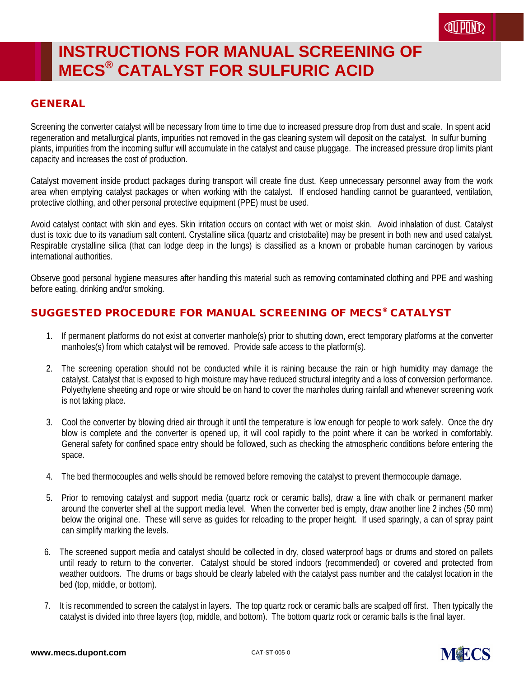#### GENERAL

Screening the converter catalyst will be necessary from time to time due to increased pressure drop from dust and scale. In spent acid regeneration and metallurgical plants, impurities not removed in the gas cleaning system will deposit on the catalyst. In sulfur burning plants, impurities from the incoming sulfur will accumulate in the catalyst and cause pluggage. The increased pressure drop limits plant capacity and increases the cost of production.

Catalyst movement inside product packages during transport will create fine dust. Keep unnecessary personnel away from the work area when emptying catalyst packages or when working with the catalyst. If enclosed handling cannot be guaranteed, ventilation, protective clothing, and other personal protective equipment (PPE) must be used.

Avoid catalyst contact with skin and eyes. Skin irritation occurs on contact with wet or moist skin. Avoid inhalation of dust. Catalyst dust is toxic due to its vanadium salt content. Crystalline silica (quartz and cristobalite) may be present in both new and used catalyst. Respirable crystalline silica (that can lodge deep in the lungs) is classified as a known or probable human carcinogen by various international authorities.

Observe good personal hygiene measures after handling this material such as removing contaminated clothing and PPE and washing before eating, drinking and/or smoking.

#### SUGGESTED PROCEDURE FOR MANUAL SCREENING OF MECS® CATALYST

- 1. If permanent platforms do not exist at converter manhole(s) prior to shutting down, erect temporary platforms at the converter manholes(s) from which catalyst will be removed. Provide safe access to the platform(s).
- 2. The screening operation should not be conducted while it is raining because the rain or high humidity may damage the catalyst. Catalyst that is exposed to high moisture may have reduced structural integrity and a loss of conversion performance. Polyethylene sheeting and rope or wire should be on hand to cover the manholes during rainfall and whenever screening work is not taking place.
- 3. Cool the converter by blowing dried air through it until the temperature is low enough for people to work safely. Once the dry blow is complete and the converter is opened up, it will cool rapidly to the point where it can be worked in comfortably. General safety for confined space entry should be followed, such as checking the atmospheric conditions before entering the space.
- 4. The bed thermocouples and wells should be removed before removing the catalyst to prevent thermocouple damage.
- 5. Prior to removing catalyst and support media (quartz rock or ceramic balls), draw a line with chalk or permanent marker around the converter shell at the support media level. When the converter bed is empty, draw another line 2 inches (50 mm) below the original one. These will serve as guides for reloading to the proper height. If used sparingly, a can of spray paint can simplify marking the levels.
- 6. The screened support media and catalyst should be collected in dry, closed waterproof bags or drums and stored on pallets until ready to return to the converter. Catalyst should be stored indoors (recommended) or covered and protected from weather outdoors. The drums or bags should be clearly labeled with the catalyst pass number and the catalyst location in the bed (top, middle, or bottom).
- 7. It is recommended to screen the catalyst in layers. The top quartz rock or ceramic balls are scalped off first. Then typically the catalyst is divided into three layers (top, middle, and bottom). The bottom quartz rock or ceramic balls is the final layer.

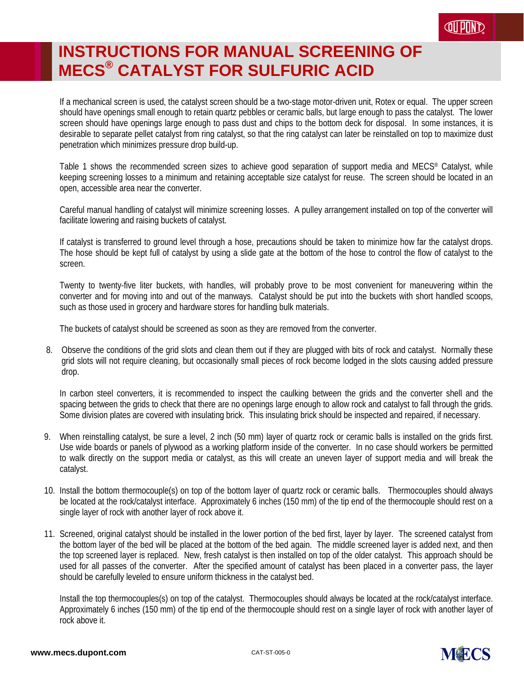If a mechanical screen is used, the catalyst screen should be a two-stage motor-driven unit, Rotex or equal. The upper screen should have openings small enough to retain quartz pebbles or ceramic balls, but large enough to pass the catalyst. The lower screen should have openings large enough to pass dust and chips to the bottom deck for disposal. In some instances, it is desirable to separate pellet catalyst from ring catalyst, so that the ring catalyst can later be reinstalled on top to maximize dust penetration which minimizes pressure drop build-up.

Table 1 shows the recommended screen sizes to achieve good separation of support media and MECS® Catalyst, while keeping screening losses to a minimum and retaining acceptable size catalyst for reuse. The screen should be located in an open, accessible area near the converter.

Careful manual handling of catalyst will minimize screening losses. A pulley arrangement installed on top of the converter will facilitate lowering and raising buckets of catalyst.

If catalyst is transferred to ground level through a hose, precautions should be taken to minimize how far the catalyst drops. The hose should be kept full of catalyst by using a slide gate at the bottom of the hose to control the flow of catalyst to the screen.

Twenty to twenty-five liter buckets, with handles, will probably prove to be most convenient for maneuvering within the converter and for moving into and out of the manways. Catalyst should be put into the buckets with short handled scoops, such as those used in grocery and hardware stores for handling bulk materials.

The buckets of catalyst should be screened as soon as they are removed from the converter.

8. Observe the conditions of the grid slots and clean them out if they are plugged with bits of rock and catalyst. Normally these grid slots will not require cleaning, but occasionally small pieces of rock become lodged in the slots causing added pressure drop.

In carbon steel converters, it is recommended to inspect the caulking between the grids and the converter shell and the spacing between the grids to check that there are no openings large enough to allow rock and catalyst to fall through the grids. Some division plates are covered with insulating brick. This insulating brick should be inspected and repaired, if necessary.

- 9. When reinstalling catalyst, be sure a level, 2 inch (50 mm) layer of quartz rock or ceramic balls is installed on the grids first. Use wide boards or panels of plywood as a working platform inside of the converter. In no case should workers be permitted to walk directly on the support media or catalyst, as this will create an uneven layer of support media and will break the catalyst.
- 10. Install the bottom thermocouple(s) on top of the bottom layer of quartz rock or ceramic balls. Thermocouples should always be located at the rock/catalyst interface. Approximately 6 inches (150 mm) of the tip end of the thermocouple should rest on a single layer of rock with another layer of rock above it.
- 11. Screened, original catalyst should be installed in the lower portion of the bed first, layer by layer. The screened catalyst from the bottom layer of the bed will be placed at the bottom of the bed again. The middle screened layer is added next, and then the top screened layer is replaced. New, fresh catalyst is then installed on top of the older catalyst. This approach should be used for all passes of the converter. After the specified amount of catalyst has been placed in a converter pass, the layer should be carefully leveled to ensure uniform thickness in the catalyst bed.

Install the top thermocouples(s) on top of the catalyst. Thermocouples should always be located at the rock/catalyst interface. Approximately 6 inches (150 mm) of the tip end of the thermocouple should rest on a single layer of rock with another layer of rock above it.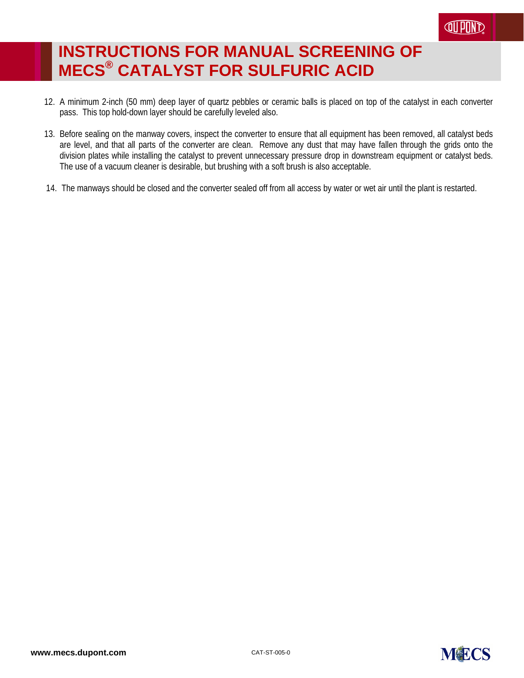- 12. A minimum 2-inch (50 mm) deep layer of quartz pebbles or ceramic balls is placed on top of the catalyst in each converter pass. This top hold-down layer should be carefully leveled also.
- 13. Before sealing on the manway covers, inspect the converter to ensure that all equipment has been removed, all catalyst beds are level, and that all parts of the converter are clean. Remove any dust that may have fallen through the grids onto the division plates while installing the catalyst to prevent unnecessary pressure drop in downstream equipment or catalyst beds. The use of a vacuum cleaner is desirable, but brushing with a soft brush is also acceptable.
- 14. The manways should be closed and the converter sealed off from all access by water or wet air until the plant is restarted.